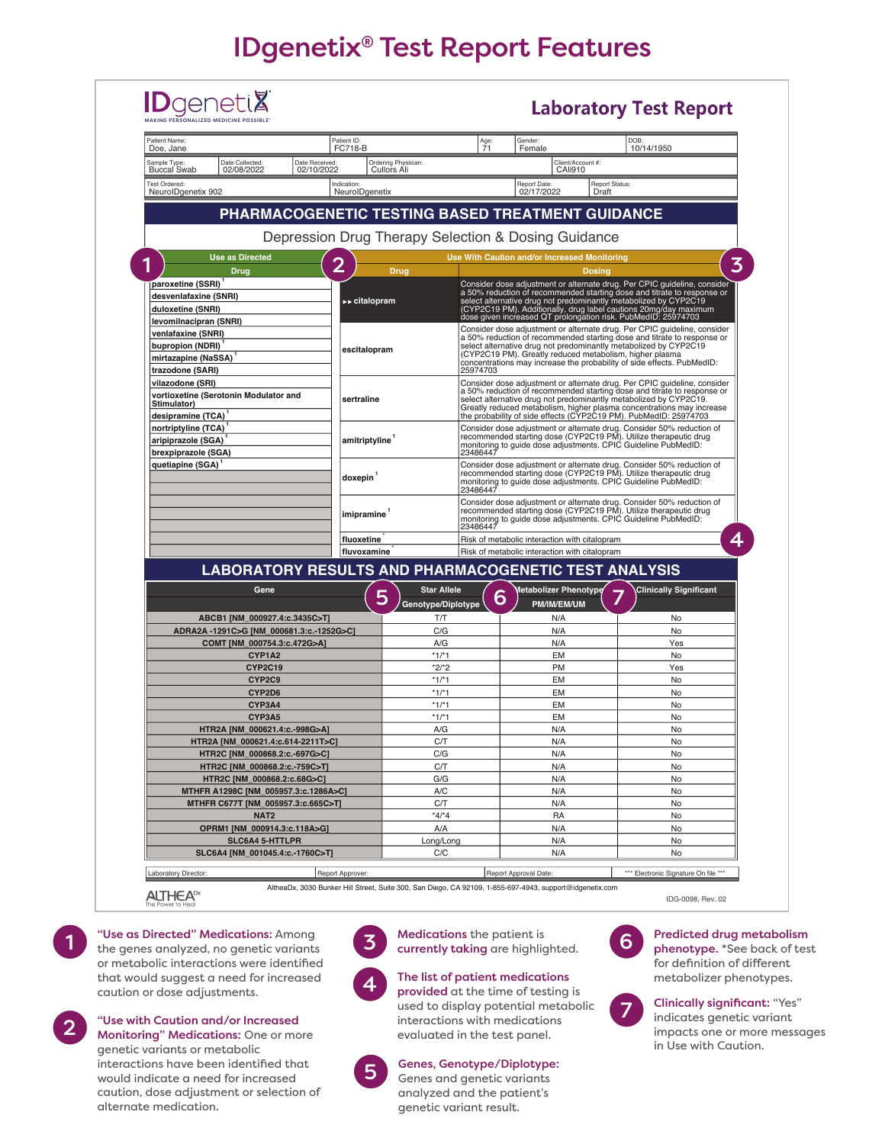# IDgenetix® Test Report Features



1

2

"Use as Directed" Medications: Among the genes analyzed, no genetic variants or metabolic interactions were identified that would suggest a need for increased caution or dose adjustments.

"Use with Caution and/or Increased

Monitoring" Medications: One or more genetic variants or metabolic interactions have been identified that would indicate a need for increased caution, dose adjustment or selection of alternate medication.



Medications the patient is<br>currently taking are highlighted.

4

### The list of patient medications provided at the time of testing is

used to display potential metabolic interactions with medications evaluated in the test panel.

## 5

Genes, Genotype/Diplotype: Genes and genetic variants

analyzed and the patient's genetic variant result.



Predicted drug metabolism phenotype. \*See back of test for definition of different metabolizer phenotypes.

7

Clinically significant: "Yes" indicates genetic variant impacts one or more messages in Use with Caution.